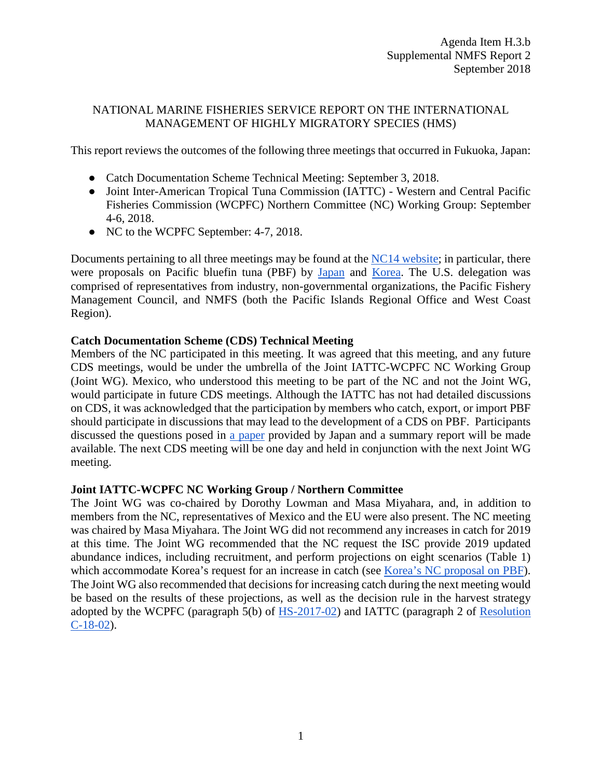## NATIONAL MARINE FISHERIES SERVICE REPORT ON THE INTERNATIONAL MANAGEMENT OF HIGHLY MIGRATORY SPECIES (HMS)

This report reviews the outcomes of the following three meetings that occurred in Fukuoka, Japan:

- Catch Documentation Scheme Technical Meeting: September 3, 2018.
- Joint Inter-American Tropical Tuna Commission (IATTC) Western and Central Pacific Fisheries Commission (WCPFC) Northern Committee (NC) Working Group: September 4-6, 2018.
- NC to the WCPFC September: 4-7, 2018.

Documents pertaining to all three meetings may be found at the [NC14 website;](https://www.wcpfc.int/meetings/14th-regular-session-northern-committee) in particular, there were proposals on Pacific bluefin tuna (PBF) by [Japan](https://www.wcpfc.int/file/218343/download?token=6UwBDs3L) and [Korea.](https://www.wcpfc.int/file/218381/download?token=6cXkzlWk) The U.S. delegation was comprised of representatives from industry, non-governmental organizations, the Pacific Fishery Management Council, and NMFS (both the Pacific Islands Regional Office and West Coast Region).

## **Catch Documentation Scheme (CDS) Technical Meeting**

Members of the NC participated in this meeting. It was agreed that this meeting, and any future CDS meetings, would be under the umbrella of the Joint IATTC-WCPFC NC Working Group (Joint WG). Mexico, who understood this meeting to be part of the NC and not the Joint WG, would participate in future CDS meetings. Although the IATTC has not had detailed discussions on CDS, it was acknowledged that the participation by members who catch, export, or import PBF should participate in discussions that may lead to the development of a CDS on PBF. Participants discussed the questions posed in [a paper](https://www.wcpfc.int/file/218526/download?token=J0-Fxj2y) provided by Japan and a summary report will be made available. The next CDS meeting will be one day and held in conjunction with the next Joint WG meeting.

## **Joint IATTC-WCPFC NC Working Group / Northern Committee**

The Joint WG was co-chaired by Dorothy Lowman and Masa Miyahara, and, in addition to members from the NC, representatives of Mexico and the EU were also present. The NC meeting was chaired by Masa Miyahara. The Joint WG did not recommend any increases in catch for 2019 at this time. The Joint WG recommended that the NC request the ISC provide 2019 updated abundance indices, including recruitment, and perform projections on eight scenarios (Table 1) which accommodate Korea's request for an increase in catch (see [Korea's NC proposal on PBF\)](https://www.wcpfc.int/file/218381/download?token=6cXkzlWk). The Joint WG also recommended that decisions for increasing catch during the next meeting would be based on the results of these projections, as well as the decision rule in the harvest strategy adopted by the WCPFC (paragraph 5(b) of [HS-2017-02\)](https://www.wcpfc.int/system/files/HS%202017-02%20Harvest%20Strategy%20for%20Pacific%20Bluefin%20Tuna_0.pdf) and IATTC (paragraph 2 of [Resolution](http://www.iattc.org/PDFFiles/Resolutions/IATTC/_English/C-18-02_Bluefin%20tuna%20(long%20term).pdf)  [C-18-02\)](http://www.iattc.org/PDFFiles/Resolutions/IATTC/_English/C-18-02_Bluefin%20tuna%20(long%20term).pdf).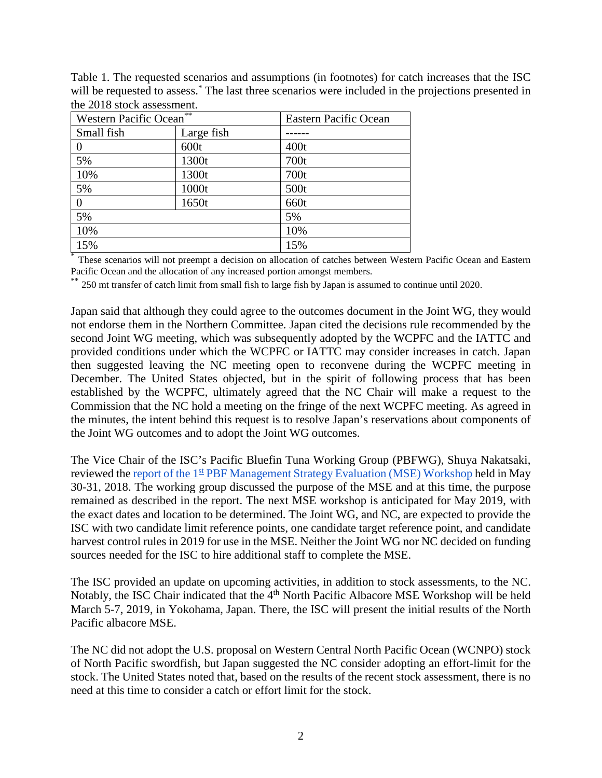| Table 1. The requested scenarios and assumptions (in footnotes) for catch increases that the ISC                 |
|------------------------------------------------------------------------------------------------------------------|
| will be requested to assess. <sup>*</sup> The last three scenarios were included in the projections presented in |
| the 2018 stock assessment.                                                                                       |

| Western Pacific Ocean <sup>**</sup> |            | Eastern Pacific Ocean |
|-------------------------------------|------------|-----------------------|
| Small fish                          | Large fish |                       |
| 0                                   | 600t       | 400t                  |
| 5%                                  | 1300t      | 700t                  |
| 10%                                 | 1300t      | 700t                  |
| 5%                                  | 1000t      | 500t                  |
| 0                                   | 1650t      | 660t                  |
| 5%                                  |            | 5%                    |
| 10%                                 |            | 10%                   |
| 15%                                 |            | 15%                   |

These scenarios will not preempt a decision on allocation of catches between Western Pacific Ocean and Eastern Pacific Ocean and the allocation of any increased portion amongst members.

\*\* 250 mt transfer of catch limit from small fish to large fish by Japan is assumed to continue until 2020.

Japan said that although they could agree to the outcomes document in the Joint WG, they would not endorse them in the Northern Committee. Japan cited the decisions rule recommended by the second Joint WG meeting, which was subsequently adopted by the WCPFC and the IATTC and provided conditions under which the WCPFC or IATTC may consider increases in catch. Japan then suggested leaving the NC meeting open to reconvene during the WCPFC meeting in December. The United States objected, but in the spirit of following process that has been established by the WCPFC, ultimately agreed that the NC Chair will make a request to the Commission that the NC hold a meeting on the fringe of the next WCPFC meeting. As agreed in the minutes, the intent behind this request is to resolve Japan's reservations about components of the Joint WG outcomes and to adopt the Joint WG outcomes.

The Vice Chair of the ISC's Pacific Bluefin Tuna Working Group (PBFWG), Shuya Nakatsaki, reviewed the report of the 1<sup>st</sup> [PBF Management Strategy Evaluation \(MSE\) Workshop](http://isc.fra.go.jp/pdf/ISC18/ISC_18_ANNEX_08_Summary_Report_of_Pacific_Bluefin_MSE_Workshop_(May%202018)_FINAL.pdf) held in May 30-31, 2018. The working group discussed the purpose of the MSE and at this time, the purpose remained as described in the report. The next MSE workshop is anticipated for May 2019, with the exact dates and location to be determined. The Joint WG, and NC, are expected to provide the ISC with two candidate limit reference points, one candidate target reference point, and candidate harvest control rules in 2019 for use in the MSE. Neither the Joint WG nor NC decided on funding sources needed for the ISC to hire additional staff to complete the MSE.

The ISC provided an update on upcoming activities, in addition to stock assessments, to the NC. Notably, the ISC Chair indicated that the 4<sup>th</sup> North Pacific Albacore MSE Workshop will be held March 5-7, 2019, in Yokohama, Japan. There, the ISC will present the initial results of the North Pacific albacore MSE.

The NC did not adopt the U.S. proposal on Western Central North Pacific Ocean (WCNPO) stock of North Pacific swordfish, but Japan suggested the NC consider adopting an effort-limit for the stock. The United States noted that, based on the results of the recent stock assessment, there is no need at this time to consider a catch or effort limit for the stock.